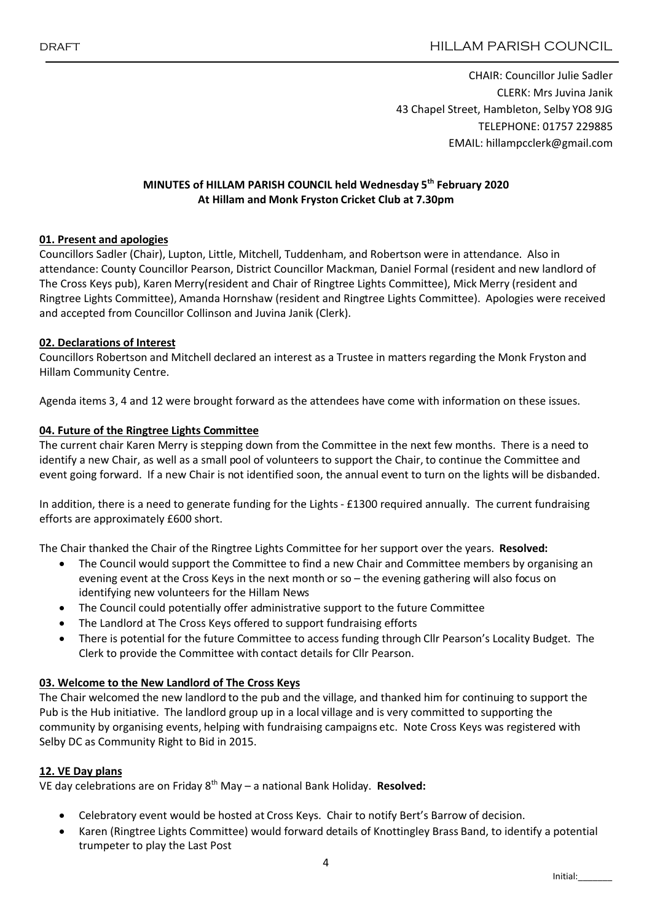CHAIR: Councillor Julie Sadler CLERK: Mrs Juvina Janik 43 Chapel Street, Hambleton, Selby YO8 9JG TELEPHONE: 01757 229885 EMAIL: hillampcclerk@gmail.com

# MINUTES of HILLAM PARISH COUNCIL held Wednesday 5th February 2020 At Hillam and Monk Fryston Cricket Club at 7.30pm

#### 01. Present and apologies

Councillors Sadler (Chair), Lupton, Little, Mitchell, Tuddenham, and Robertson were in attendance. Also in attendance: County Councillor Pearson, District Councillor Mackman, Daniel Formal (resident and new landlord of The Cross Keys pub), Karen Merry(resident and Chair of Ringtree Lights Committee), Mick Merry (resident and Ringtree Lights Committee), Amanda Hornshaw (resident and Ringtree Lights Committee). Apologies were received and accepted from Councillor Collinson and Juvina Janik (Clerk).

#### 02. Declarations of Interest

Councillors Robertson and Mitchell declared an interest as a Trustee in matters regarding the Monk Fryston and Hillam Community Centre.

Agenda items 3, 4 and 12 were brought forward as the attendees have come with information on these issues.

#### 04. Future of the Ringtree Lights Committee

The current chair Karen Merry is stepping down from the Committee in the next few months. There is a need to identify a new Chair, as well as a small pool of volunteers to support the Chair, to continue the Committee and event going forward. If a new Chair is not identified soon, the annual event to turn on the lights will be disbanded.

In addition, there is a need to generate funding for the Lights - £1300 required annually. The current fundraising efforts are approximately £600 short.

The Chair thanked the Chair of the Ringtree Lights Committee for her support over the years. Resolved:

- The Council would support the Committee to find a new Chair and Committee members by organising an evening event at the Cross Keys in the next month or so – the evening gathering will also focus on identifying new volunteers for the Hillam News
- The Council could potentially offer administrative support to the future Committee
- The Landlord at The Cross Keys offered to support fundraising efforts
- There is potential for the future Committee to access funding through Cllr Pearson's Locality Budget. The Clerk to provide the Committee with contact details for Cllr Pearson.

#### 03. Welcome to the New Landlord of The Cross Keys

The Chair welcomed the new landlord to the pub and the village, and thanked him for continuing to support the Pub is the Hub initiative. The landlord group up in a local village and is very committed to supporting the community by organising events, helping with fundraising campaigns etc. Note Cross Keys was registered with Selby DC as Community Right to Bid in 2015.

#### 12. VE Day plans

VE day celebrations are on Friday  $8<sup>th</sup>$  May – a national Bank Holiday. **Resolved:** 

- Celebratory event would be hosted at Cross Keys. Chair to notify Bert's Barrow of decision.
- Karen (Ringtree Lights Committee) would forward details of Knottingley Brass Band, to identify a potential trumpeter to play the Last Post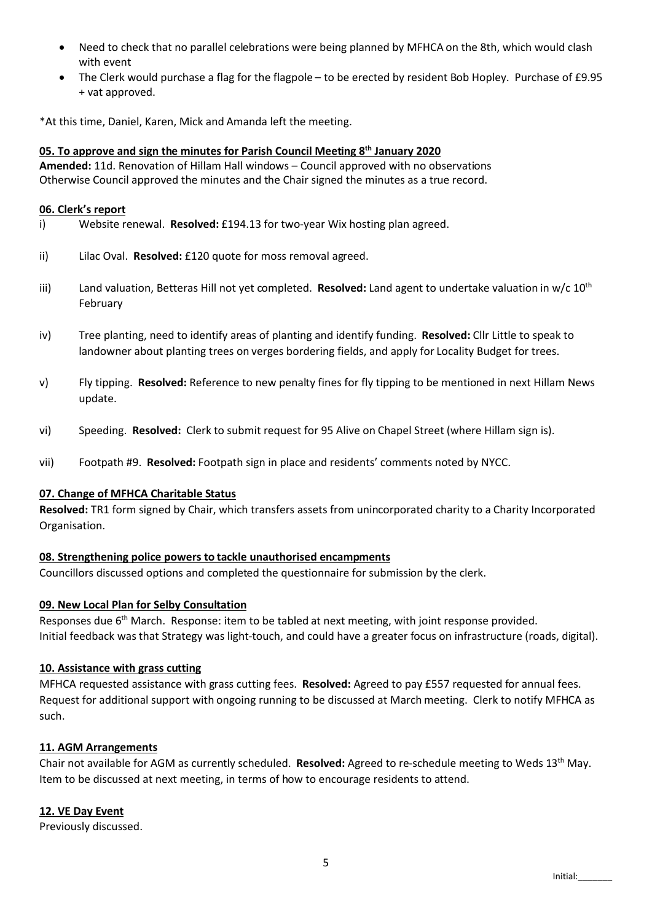- Need to check that no parallel celebrations were being planned by MFHCA on the 8th, which would clash with event
- The Clerk would purchase a flag for the flagpole to be erected by resident Bob Hopley. Purchase of £9.95 + vat approved.

\*At this time, Daniel, Karen, Mick and Amanda left the meeting.

## 05. To approve and sign the minutes for Parish Council Meeting 8<sup>th</sup> January 2020

Amended: 11d. Renovation of Hillam Hall windows – Council approved with no observations Otherwise Council approved the minutes and the Chair signed the minutes as a true record.

#### 06. Clerk's report

- i) Website renewal. **Resolved:**  $£194.13$  for two-year Wix hosting plan agreed.
- ii) Lilac Oval. Resolved: £120 quote for moss removal agreed.
- iii) Land valuation, Betteras Hill not yet completed. Resolved: Land agent to undertake valuation in w/c  $10^{th}$ February
- iv) Tree planting, need to identify areas of planting and identify funding. Resolved: Cllr Little to speak to landowner about planting trees on verges bordering fields, and apply for Locality Budget for trees.
- v) Fly tipping. Resolved: Reference to new penalty fines for fly tipping to be mentioned in next Hillam News update.
- vi) Speeding. Resolved: Clerk to submit request for 95 Alive on Chapel Street (where Hillam sign is).
- vii) Footpath #9. Resolved: Footpath sign in place and residents' comments noted by NYCC.

#### 07. Change of MFHCA Charitable Status

Resolved: TR1 form signed by Chair, which transfers assets from unincorporated charity to a Charity Incorporated Organisation.

# 08. Strengthening police powers to tackle unauthorised encampments

Councillors discussed options and completed the questionnaire for submission by the clerk.

# 09. New Local Plan for Selby Consultation

Responses due 6<sup>th</sup> March. Response: item to be tabled at next meeting, with joint response provided. Initial feedback was that Strategy was light-touch, and could have a greater focus on infrastructure (roads, digital).

#### 10. Assistance with grass cutting

MFHCA requested assistance with grass cutting fees. Resolved: Agreed to pay £557 requested for annual fees. Request for additional support with ongoing running to be discussed at March meeting. Clerk to notify MFHCA as such.

#### 11. AGM Arrangements

Chair not available for AGM as currently scheduled. Resolved: Agreed to re-schedule meeting to Weds 13<sup>th</sup> May. Item to be discussed at next meeting, in terms of how to encourage residents to attend.

# 12. VE Day Event

Previously discussed.